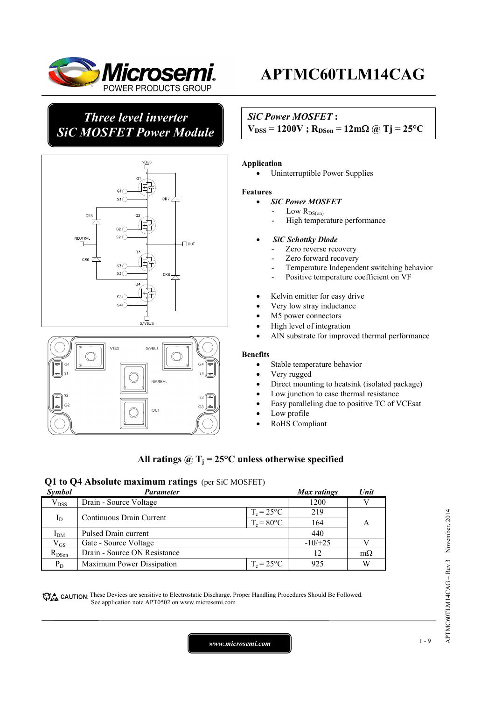

## *Three level inverter SiC MOSFET Power Module*



# .<br>Vbus 0/VBUS **NEUTRAL**  $53 \sqrt{44}$  $\alpha$

# **APTMC60TLM14CAG**

### *SiC Power MOSFET* **:**

 $V_{DSS} = 1200V$ ;  $R_{DSon} = 12mΩ$  *(a)*  $Tj = 25°C$ 

#### **Application**

• Uninterruptible Power Supplies

#### **Features**

- *SiC Power MOSFET*
	- Low  $R_{\rm DS(on)}$
	- High temperature performance

#### • *SiC Schottky Diode*

- Zero reverse recovery
- Zero forward recovery
- Temperature Independent switching behavior
- Positive temperature coefficient on VF
- Kelvin emitter for easy drive
- Very low stray inductance
- M5 power connectors
- High level of integration
- AlN substrate for improved thermal performance

#### **Benefits**

- Stable temperature behavior
- Very rugged
- Direct mounting to heatsink (isolated package)
- Low junction to case thermal resistance
- Easy paralleling due to positive TC of VCEsat
- Low profile
- RoHS Compliant

### All ratings  $\hat{\omega}$  T<sub>i</sub> = 25°C unless otherwise specified

### **Q1 to Q4 Absolute maximum ratings** (per SiC MOSFET)

| Symbol       | Parameter                    |                     |           |           |
|--------------|------------------------------|---------------------|-----------|-----------|
| $V_{DSS}$    | Drain - Source Voltage       |                     | 1200      |           |
|              |                              | $T_c = 25^{\circ}C$ | 219       |           |
| $I_D$        | Continuous Drain Current     | $T_c = 80$ °C       | 164       |           |
| $I_{DM}$     | Pulsed Drain current         |                     | 440       |           |
| $\rm V_{GS}$ | Gate - Source Voltage        |                     | $-10/+25$ |           |
| $R_{DSon}$   | Drain - Source ON Resistance |                     | 12        | $m\Omega$ |
| $P_D$        | Maximum Power Dissipation    | $T_c = 25^{\circ}C$ | 925       | W         |

CAUTION: These Devices are sensitive to Electrostatic Discharge. Proper Handling Procedures Should Be Followed. See application note APT0502 on www.microsemi.com

APTMC60TLM14CAG - Rev 3 November, 2014 APTMC60TLM14CAG – Rev 3 November, 2014

*www.microsemi.com* 1-9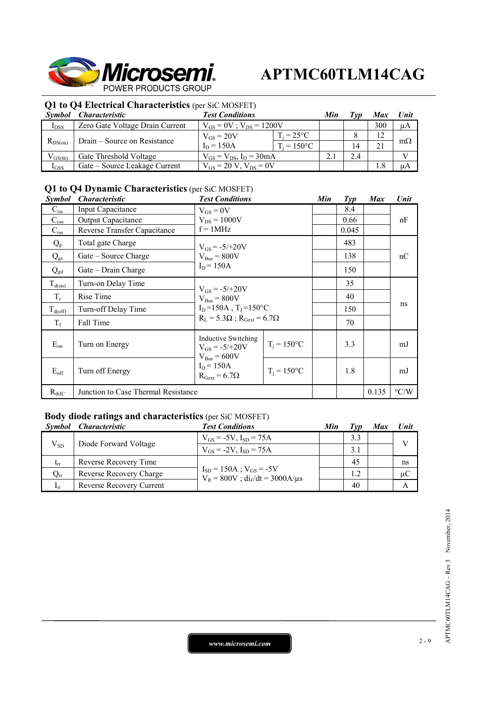

### **Q1 to Q4 Electrical Characteristics** (per SiC MOSFET)

| Symbol       | <i>Characteristic</i>           | <b>Test Conditions</b>           |                     |  | Typ | Max     | Unit      |
|--------------|---------------------------------|----------------------------------|---------------------|--|-----|---------|-----------|
| $I_{DSS}$    | Zero Gate Voltage Drain Current | $V_{GS} = 0V$ ; $V_{DS} = 1200V$ |                     |  | 300 | $\mu A$ |           |
|              |                                 | $V_{GS} = 20V$                   | $T_i = 25^{\circ}C$ |  |     |         |           |
| $R_{DS(on)}$ | Drain – Source on Resistance    | $I_D = 150A$                     | $T_i = 150$ °C      |  | 14  |         | $m\Omega$ |
| $V_{GS(th)}$ | Gate Threshold Voltage          | $V_{GS} = V_{DS}$ , $I_D = 30mA$ |                     |  | 2.4 |         |           |
| $I_{GSS}$    | Gate – Source Leakage Current   | $V_{GS} = 20 V$ , $V_{DS} = 0V$  |                     |  |     | . . 8   | uА        |

## **Q1 to Q4 Dynamic Characteristics** (per SiC MOSFET)

| <i>Symbol</i>    | <i><b>Characteristic</b></i>        | <b>Test Conditions</b>                                                               |                | Min | $\mathcal{I}yp$ | <b>Max</b> | Unit               |
|------------------|-------------------------------------|--------------------------------------------------------------------------------------|----------------|-----|-----------------|------------|--------------------|
| $C_{iss}$        | <b>Input Capacitance</b>            | $V_{GS} = 0V$                                                                        |                |     | 8.4             |            |                    |
| $C_{\rm oss}$    | <b>Output Capacitance</b>           | $V_{DS} = 1000V$                                                                     |                |     | 0.66            |            | nF                 |
| $C_{\text{rss}}$ | Reverse Transfer Capacitance        | $f = 1$ MHz                                                                          |                |     | 0.045           |            |                    |
| $Q_{\rm g}$      | Total gate Charge                   | $V_{GS} = -5/+20V$                                                                   |                |     | 483             |            |                    |
| $Q_{gs}$         | Gate – Source Charge                | $V_{\text{Bus}} = 800V$                                                              |                |     | 138             |            | nC                 |
| $Q_{gd}$         | Gate – Drain Charge                 | $I_D = 150A$                                                                         |                |     | 150             |            |                    |
| $T_{d(0n)}$      | Turn-on Delay Time                  | $V_{GS} = -5/+20V$<br>$V_{\text{Bus}} = 800V$<br>$I_D = 150A$ , $T_J = 150^{\circ}C$ |                |     | 35              |            |                    |
| $T_r$            | Rise Time                           |                                                                                      |                |     | 40              |            | ns                 |
| $T_{d(off)}$     | Turn-off Delay Time                 |                                                                                      |                |     | 150             |            |                    |
| $T_f$            | Fall Time                           | $R_L = 5.3\Omega$ ; $R_{\text{Gext}} = 6.7\Omega$                                    |                |     | 70              |            |                    |
| $E_{on}$         | Turn on Energy                      | <b>Inductive Switching</b><br>$V_{GS} = -5/+20V$<br>$V_{Bus} = 600V$                 | $T_i = 150$ °C |     | 3.3             |            | mJ                 |
| $E_{\text{off}}$ | Turn off Energy                     | $I_D = 150A$<br>$R_{\text{Gext}} = 6.7\Omega$                                        | $T_i = 150$ °C |     | 1.8             |            | mJ                 |
| $R_{thJC}$       | Junction to Case Thermal Resistance |                                                                                      |                |     |                 | 0.135      | $\rm ^{\circ} C/W$ |

## **Body diode ratings and characteristics** (per SiC MOSFET)

|                          | Symbol Characteristic    | <b>Test Conditions</b>                                                     | Min | Tvp | Max | Unit         |
|--------------------------|--------------------------|----------------------------------------------------------------------------|-----|-----|-----|--------------|
|                          |                          | $V_{GS} = -5V$ , $I_{SD} = 75A$                                            |     | 3.3 |     | $\mathbf{V}$ |
| $V_{SD}$                 | Diode Forward Voltage    | $V_{GS} = -2V$ , $I_{SD} = 75A$                                            |     | 3.1 |     |              |
| $t_{rr}$                 | Reverse Recovery Time    |                                                                            |     | 45  |     | ns           |
| $Q_{rr}$                 | Reverse Recovery Charge  | $I_{SD} = 150A$ ; $V_{GS} = -5V$<br>$V_R = 800V$ ; $di_F/dt = 3000A/\mu s$ |     | 1.2 |     | $\mu C$      |
| $\mathbf{I}_{\text{IT}}$ | Reverse Recovery Current |                                                                            |     | 40  |     |              |

*www.microsemi.com* 2-9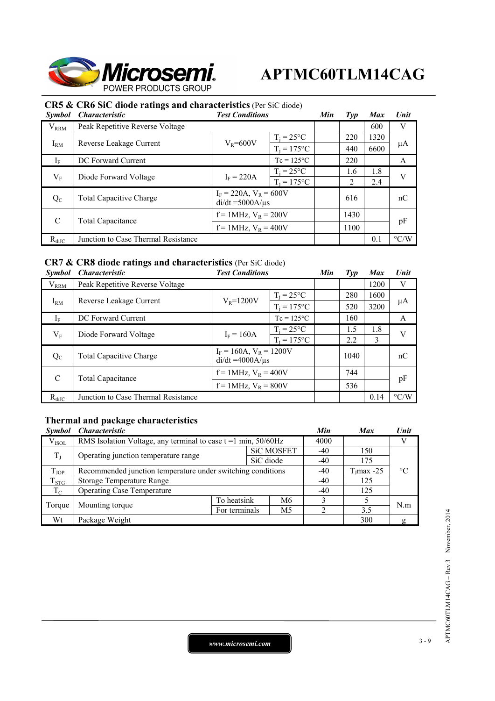

## **CR5 & CR6 SiC diode ratings and characteristics** (Per SiC diode)

| <i>Symbol</i> | <b>Characteristic</b>               | <b>Test Conditions</b>                               |                                |     | $\mathcal{I}yp$ | <b>Max</b> | Unit               |
|---------------|-------------------------------------|------------------------------------------------------|--------------------------------|-----|-----------------|------------|--------------------|
| $V_{RRM}$     | Peak Repetitive Reverse Voltage     |                                                      |                                |     |                 | 600        | V                  |
|               |                                     | $T_i = 25^{\circ}C$                                  |                                | 220 | 1320            |            |                    |
| $I_{RM}$      | Reverse Leakage Current             |                                                      | $V_R = 600V$<br>$T_i = 175$ °C |     | 440             | 6600       | μA                 |
| $I_F$         | DC Forward Current                  |                                                      | $Tc = 125^{\circ}C$            |     | 220             |            | A                  |
| $V_{\rm F}$   | Diode Forward Voltage               | $I_F = 220A$                                         | $T_i = 25^{\circ}C$            |     | 1.6             | 1.8        | V                  |
|               |                                     |                                                      | $T_i = 175$ °C                 |     | 2               | 2.4        |                    |
| $Q_{C}$       | <b>Total Capacitive Charge</b>      | $I_F = 220A$ , $V_R = 600V$<br>$di/dt = 5000A/\mu s$ |                                |     | 616             |            | nC                 |
| C             |                                     | $f = 1$ MHz, $V_R = 200V$                            |                                |     | 1430            |            |                    |
|               | Total Capacitance                   | $f = 1$ MHz, $V_R = 400V$                            |                                |     | 1100            |            | pF                 |
| $R_{thJC}$    | Junction to Case Thermal Resistance |                                                      |                                |     |                 | 0.1        | $\rm ^{\circ} C/W$ |

## **CR7 & CR8 diode ratings and characteristics** (Per SiC diode)

| <b>Symbol</b> | <i><b>Characteristic</b></i>                         | <b>Test Conditions</b>                                |                     |     | Tvp  | <b>Max</b> | Unit               |
|---------------|------------------------------------------------------|-------------------------------------------------------|---------------------|-----|------|------------|--------------------|
| $V_{RRM}$     | Peak Repetitive Reverse Voltage                      |                                                       |                     |     |      | 1200       | V                  |
|               | $V_R = 1200V$<br>$I_{RM}$<br>Reverse Leakage Current |                                                       | $T_i = 25^{\circ}C$ |     | 280  | 1600       |                    |
|               |                                                      | $T_i = 175$ °C                                        |                     | 520 | 3200 | $\mu A$    |                    |
| $I_F$         | DC Forward Current                                   |                                                       | $Tc = 125$ °C       |     | 160  |            | A                  |
| $V_{\rm F}$   | Diode Forward Voltage                                | $I_F = 160A$                                          | $T_i = 25^{\circ}C$ |     | 1.5  | 1.8        | V                  |
|               |                                                      |                                                       | $T_i = 175$ °C      |     | 2.2  | 3          |                    |
| $Q_{C}$       | <b>Total Capacitive Charge</b>                       | $I_F = 160A$ , $V_R = 1200V$<br>$di/dt = 4000A/\mu s$ |                     |     | 1040 |            | nC                 |
| C             |                                                      | $f = 1$ MHz, $V_R = 400V$                             |                     |     | 744  |            | pF                 |
|               | Total Capacitance                                    | $f = 1$ MHz, $V_R = 800V$                             |                     |     | 536  |            |                    |
| $R_{thJC}$    | Junction to Case Thermal Resistance                  |                                                       |                     |     |      | 0.14       | $\rm ^{\circ}$ C/W |

## **Thermal and package characteristics**

| <i>Symbol</i> | <i><b>Characteristic</b></i>                                           |             |               |       |      | <b>Max</b>    | Unit            |
|---------------|------------------------------------------------------------------------|-------------|---------------|-------|------|---------------|-----------------|
| $V_{ISOL}$    | RMS Isolation Voltage, any terminal to case $t = 1$ min, $50/60$ Hz    |             |               |       | 4000 |               |                 |
| $T_{J}$       | <b>SiC MOSFET</b><br>Operating junction temperature range<br>SiC diode |             |               | $-40$ | 150  |               |                 |
|               |                                                                        |             | -40           | 175   |      |               |                 |
| $T_{JOP}$     | Recommended junction temperature under switching conditions            |             |               |       | -40  | $T_J$ max -25 | $\rm ^{\circ}C$ |
| $T_{STG}$     | Storage Temperature Range                                              |             |               |       |      | 125           |                 |
| $T_{\rm C}$   | <b>Operating Case Temperature</b>                                      |             |               |       |      | 125           |                 |
| Torque        |                                                                        | To heatsink |               | M6    |      |               | N.m             |
|               | Mounting torque                                                        |             | For terminals | M5    |      | 3.5           |                 |
| Wt            | Package Weight                                                         |             |               |       |      | 300           | g               |

*www.microsemi.com* 3-9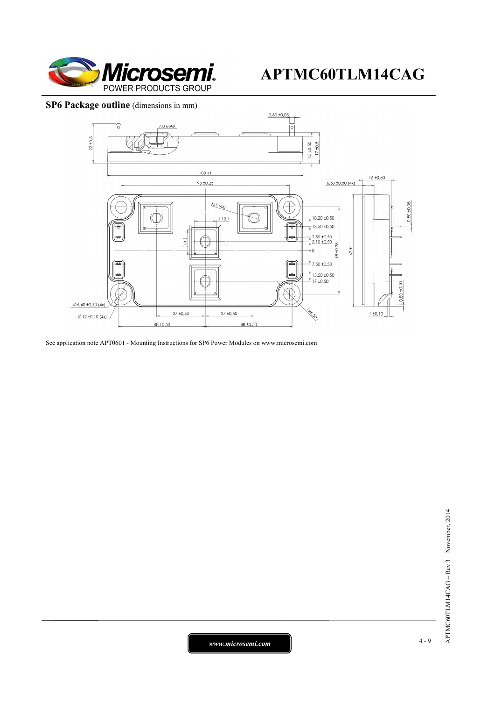

### **SP6 Package outline** (dimensions in mm)



See application note APT0601 - Mounting Instructions for SP6 Power Modules on www.microsemi.com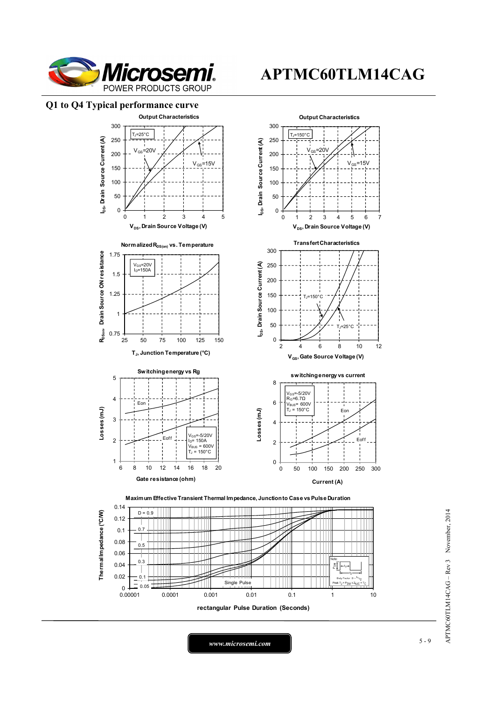

### **Q1 to Q4 Typical performance curve**



APTMC60TLM14CAG - Rev 3 November, 2014 APTMC60TLM14CAG – Rev 3 November, 2014

*www.microsemi.com* 5-9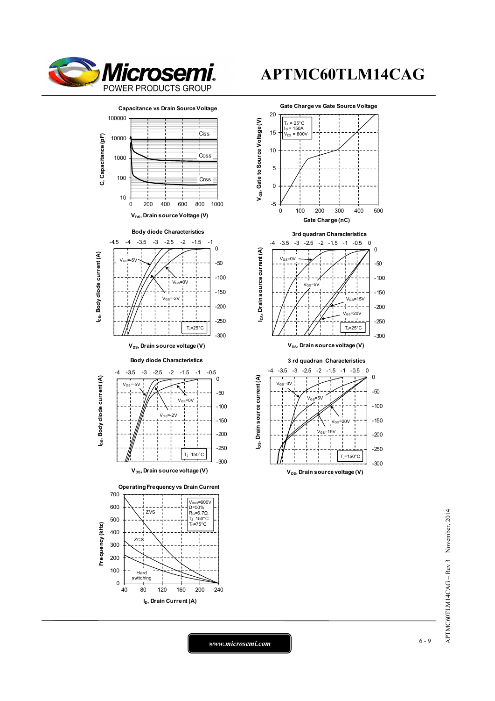





 $V_{GS}$ =20  $=15V$ -300 -250 -200 -150 -100  $V_{DS}$ , Drain source voltage (V)  $T_J$ =150 $^{\circ}$ C

> APTMC60TLM14CAG - Rev 3 November, 2014 APTMC60TLM14CAG – Rev 3 November, 2014

ۋا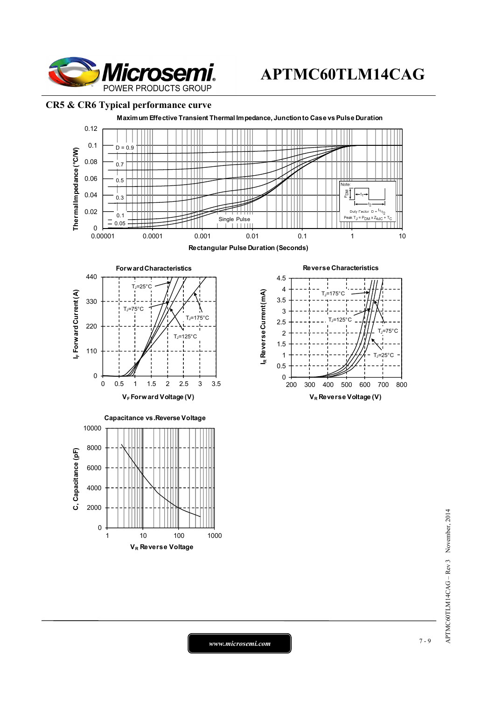

### **CR5 & CR6 Typical performance curve**



*www.microsemi.com* 7-9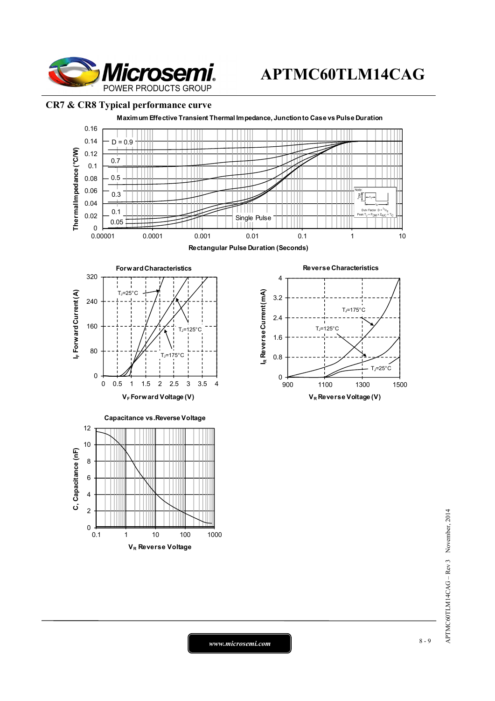

### **CR7 & CR8 Typical performance curve**



APTMC60TLM14CAG - Rev 3 November, 2014 APTMC60TLM14CAG – Rev 3 November, 2014

*www.microsemi.com* 8-9